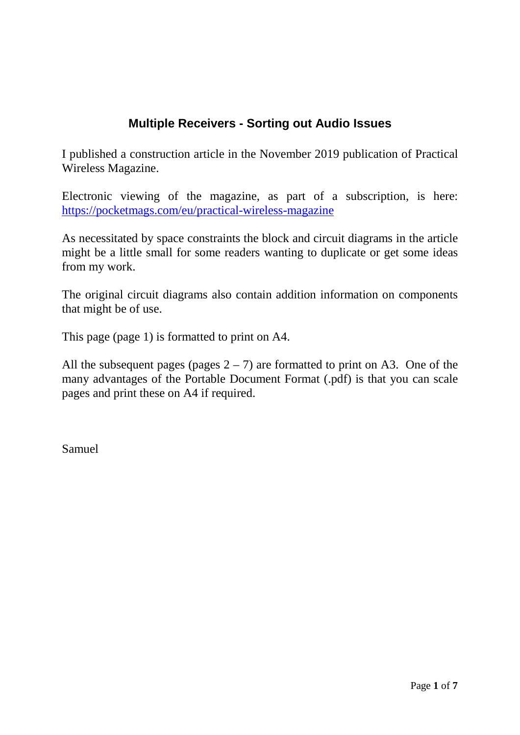# **Multiple Receivers - Sorting out Audio Issues**

I published a construction article in the November 2019 publication of Practical Wireless Magazine.

Electronic viewing of the magazine, as part of a subscription, is here: <https://pocketmags.com/eu/practical-wireless-magazine>

As necessitated by space constraints the block and circuit diagrams in the article might be a little small for some readers wanting to duplicate or get some ideas from my work.

The original circuit diagrams also contain addition information on components that might be of use.

This page (page 1) is formatted to print on A4.

All the subsequent pages (pages  $2 - 7$ ) are formatted to print on A3. One of the many advantages of the Portable Document Format (.pdf) is that you can scale pages and print these on A4 if required.

Samuel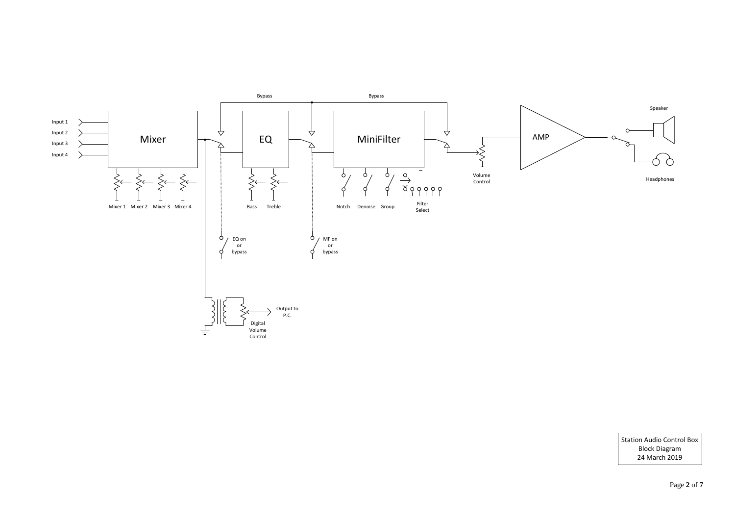Page **2** of **7**

Station Audio Control Box Block Diagram 24 March 2019



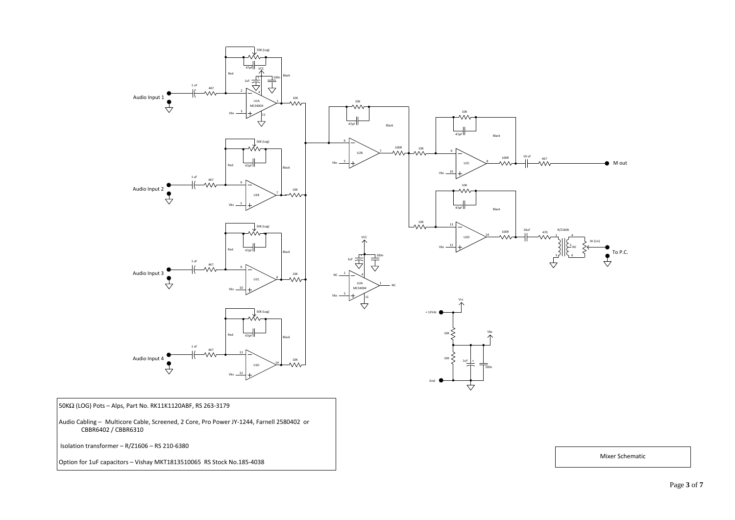#### Mixer Schematic



Isolation transformer – R/Z1606 – RS 210-6380

Option for 1uF capacitors – Vishay MKT1813510065 RS Stock No.185-4038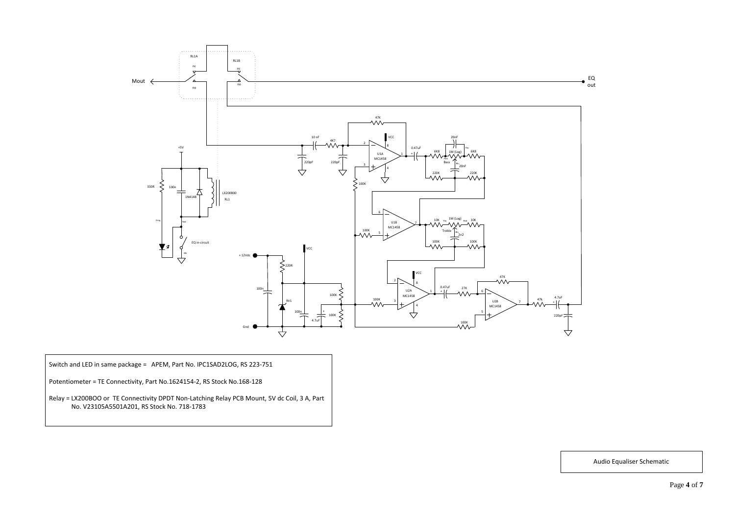

## Audio Equaliser Schematic

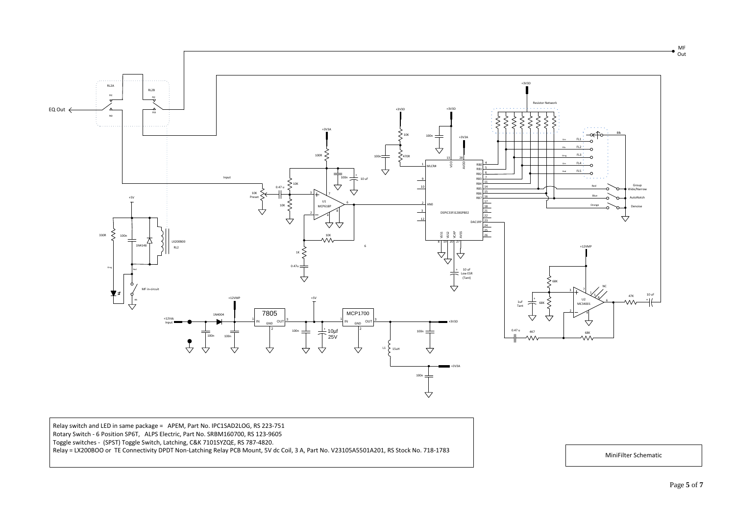#### MiniFilter Schematic

 Relay switch and LED in same package = APEM, Part No. IPC1SAD2LOG, RS 223-751 Rotary Switch - 6 Position SP6T, ALPS Electric, Part No. SRBM160700, RS 123-9605 Toggle switches - (SPST) Toggle Switch, Latching, C&K 7101SYZQE, RS 787-4820. Relay = LX200BOO or TE Connectivity DPDT Non-Latching Relay PCB Mount, 5V dc Coil, 3 A, Part No. V23105A5501A201, RS Stock No. 718-1783

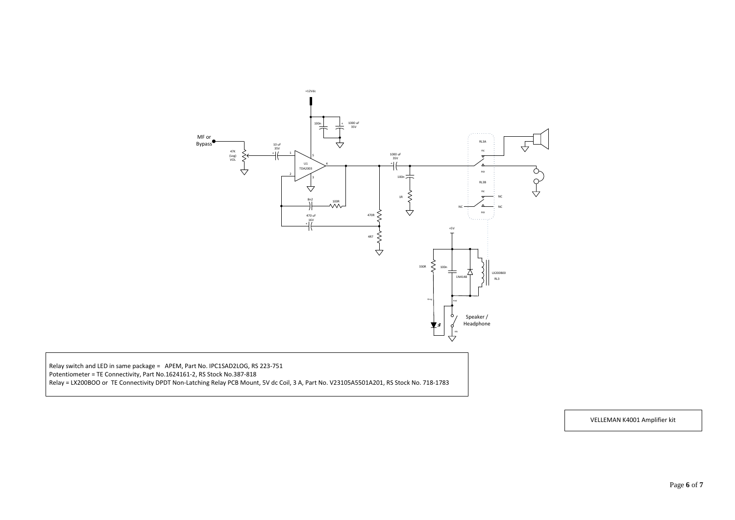## VELLEMAN K4001 Amplifier kit



 Relay switch and LED in same package = APEM, Part No. IPC1SAD2LOG, RS 223-751 Potentiometer = TE Connectivity, Part No.1624161-2, RS Stock No.387-818 Relay = LX200BOO or TE Connectivity DPDT Non-Latching Relay PCB Mount, 5V dc Coil, 3 A, Part No. V23105A5501A201, RS Stock No. 718-1783